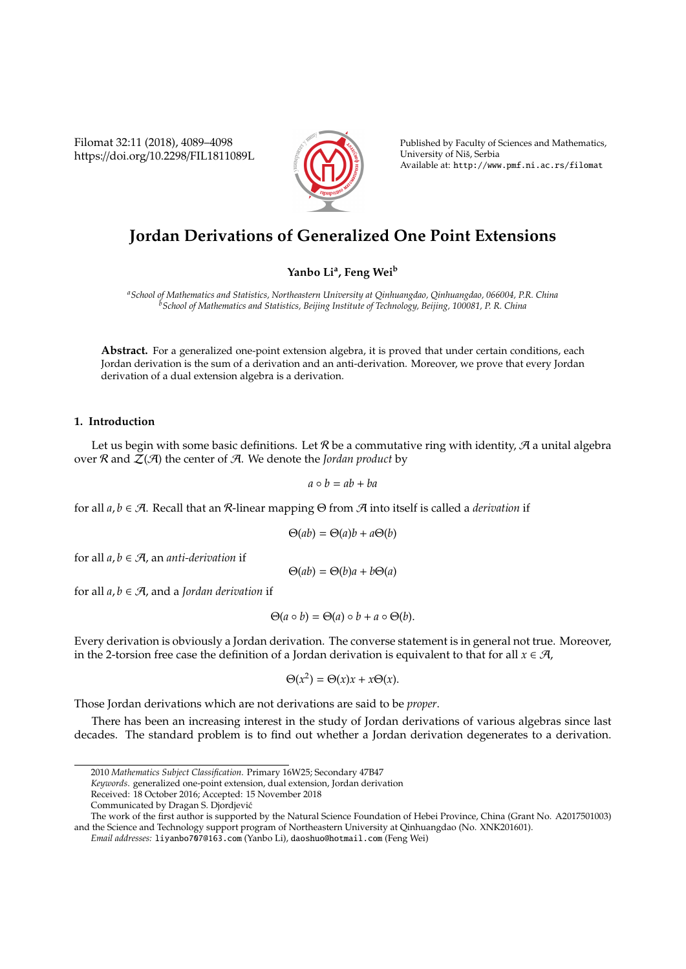Filomat 32:11 (2018), 4089–4098 https://doi.org/10.2298/FIL1811089L



Published by Faculty of Sciences and Mathematics, University of Niš, Serbia Available at: http://www.pmf.ni.ac.rs/filomat

# **Jordan Derivations of Generalized One Point Extensions**

**Yanbo Li<sup>a</sup> , Feng Wei<sup>b</sup>**

*<sup>a</sup>School of Mathematics and Statistics, Northeastern University at Qinhuangdao, Qinhuangdao, 066004, P.R. China <sup>b</sup>School of Mathematics and Statistics, Beijing Institute of Technology, Beijing, 100081, P. R. China*

**Abstract.** For a generalized one-point extension algebra, it is proved that under certain conditions, each Jordan derivation is the sum of a derivation and an anti-derivation. Moreover, we prove that every Jordan derivation of a dual extension algebra is a derivation.

### **1. Introduction**

Let us begin with some basic definitions. Let  $\mathcal R$  be a commutative ring with identity,  $\mathcal A$  a unital algebra over  $R$  and  $Z(A)$  the center of  $A$ . We denote the *Jordan product* by

$$
a\circ b=ab+ba
$$

for all *a*, *b* ∈ A. Recall that an R-linear mapping Θ from A into itself is called a *derivation* if

$$
\Theta(ab) = \Theta(a)b + a\Theta(b)
$$

for all  $a, b \in \mathcal{A}$ , an *anti-derivation* if

 $\Theta(ab) = \Theta(b)a + b\Theta(a)$ 

for all  $a, b \in \mathcal{A}$ , and a *Jordan derivation* if

$$
\Theta(a \circ b) = \Theta(a) \circ b + a \circ \Theta(b).
$$

Every derivation is obviously a Jordan derivation. The converse statement is in general not true. Moreover, in the 2-torsion free case the definition of a Jordan derivation is equivalent to that for all  $x \in \mathcal{A}$ ,

$$
\Theta(x^2) = \Theta(x)x + x\Theta(x).
$$

Those Jordan derivations which are not derivations are said to be *proper*.

There has been an increasing interest in the study of Jordan derivations of various algebras since last decades. The standard problem is to find out whether a Jordan derivation degenerates to a derivation.

*Keywords*. generalized one-point extension, dual extension, Jordan derivation

The work of the first author is supported by the Natural Science Foundation of Hebei Province, China (Grant No. A2017501003) and the Science and Technology support program of Northeastern University at Qinhuangdao (No. XNK201601).

*Email addresses:* liyanbo707@163.com (Yanbo Li), daoshuo@hotmail.com (Feng Wei)

<sup>2010</sup> *Mathematics Subject Classification*. Primary 16W25; Secondary 47B47

Received: 18 October 2016; Accepted: 15 November 2018

Communicated by Dragan S. Djordjevic´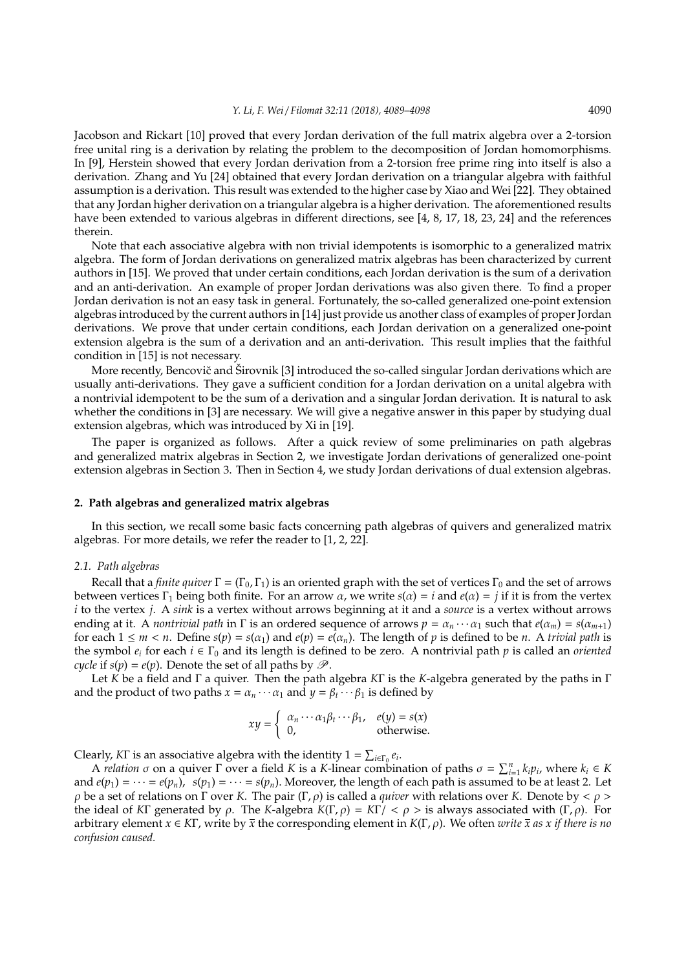Jacobson and Rickart [10] proved that every Jordan derivation of the full matrix algebra over a 2-torsion free unital ring is a derivation by relating the problem to the decomposition of Jordan homomorphisms. In [9], Herstein showed that every Jordan derivation from a 2-torsion free prime ring into itself is also a derivation. Zhang and Yu [24] obtained that every Jordan derivation on a triangular algebra with faithful assumption is a derivation. This result was extended to the higher case by Xiao and Wei [22]. They obtained that any Jordan higher derivation on a triangular algebra is a higher derivation. The aforementioned results have been extended to various algebras in different directions, see [4, 8, 17, 18, 23, 24] and the references therein.

Note that each associative algebra with non trivial idempotents is isomorphic to a generalized matrix algebra. The form of Jordan derivations on generalized matrix algebras has been characterized by current authors in [15]. We proved that under certain conditions, each Jordan derivation is the sum of a derivation and an anti-derivation. An example of proper Jordan derivations was also given there. To find a proper Jordan derivation is not an easy task in general. Fortunately, the so-called generalized one-point extension algebras introduced by the current authors in [14] just provide us another class of examples of proper Jordan derivations. We prove that under certain conditions, each Jordan derivation on a generalized one-point extension algebra is the sum of a derivation and an anti-derivation. This result implies that the faithful condition in [15] is not necessary.

More recently, Bencovič and Širovnik [3] introduced the so-called singular Jordan derivations which are usually anti-derivations. They gave a sufficient condition for a Jordan derivation on a unital algebra with a nontrivial idempotent to be the sum of a derivation and a singular Jordan derivation. It is natural to ask whether the conditions in [3] are necessary. We will give a negative answer in this paper by studying dual extension algebras, which was introduced by Xi in [19].

The paper is organized as follows. After a quick review of some preliminaries on path algebras and generalized matrix algebras in Section 2, we investigate Jordan derivations of generalized one-point extension algebras in Section 3. Then in Section 4, we study Jordan derivations of dual extension algebras.

#### **2. Path algebras and generalized matrix algebras**

In this section, we recall some basic facts concerning path algebras of quivers and generalized matrix algebras. For more details, we refer the reader to [1, 2, 22].

#### *2.1. Path algebras*

Recall that a *finite quiver*  $\Gamma = (\Gamma_0, \Gamma_1)$  is an oriented graph with the set of vertices  $\Gamma_0$  and the set of arrows between vertices Γ<sub>1</sub> being both finite. For an arrow *α*, we write  $s(α) = i$  and  $e(α) = j$  if it is from the vertex *i* to the vertex *j*. A *sink* is a vertex without arrows beginning at it and a *source* is a vertex without arrows ending at it. A *nontrivial path* in  $\Gamma$  is an ordered sequence of arrows  $p = \alpha_n \cdots \alpha_1$  such that  $e(\alpha_m) = s(\alpha_{m+1})$ for each  $1 \le m < n$ . Define  $s(p) = s(\alpha_1)$  and  $e(p) = e(\alpha_n)$ . The length of *p* is defined to be *n*. A *trivial path* is the symbol  $e_i$  for each  $i \in \Gamma_0$  and its length is defined to be zero. A nontrivial path  $p$  is called an *oriented cycle* if  $s(p) = e(p)$ . Denote the set of all paths by  $\mathcal{P}$ .

Let *K* be a field and Γ a quiver. Then the path algebra *K*Γ is the *K*-algebra generated by the paths in Γ and the product of two paths  $x = \alpha_n \cdots \alpha_1$  and  $y = \beta_t \cdots \beta_1$  is defined by

$$
xy = \begin{cases} \alpha_n \cdots \alpha_1 \beta_t \cdots \beta_1, & e(y) = s(x) \\ 0, & \text{otherwise.} \end{cases}
$$

Clearly, *K*<sup>T</sup> is an associative algebra with the identity  $1 = \sum_{i \in \Gamma_0} e_i$ .

A *relation*  $\sigma$  on a quiver  $\Gamma$  over a field *K* is a *K*-linear combination of paths  $\sigma = \sum_{i=1}^{n} k_i p_i$ , where  $k_i \in K$ and  $e(p_1) = \cdots = e(p_n)$ ,  $s(p_1) = \cdots = s(p_n)$ . Moreover, the length of each path is assumed to be at least 2. Let ρ be a set of relations on Γ over *K*. The pair (Γ, ρ) is called a *quiver* with relations over *K*. Denote by < ρ > the ideal of *K*Γ generated by ρ. The *K*-algebra  $K(\Gamma, \rho) = K\Gamma / < \rho$  > is always associated with  $(\Gamma, \rho)$ . For arbitrary element *x* ∈ *K*Γ, write by *x* the corresponding element in *K*(Γ, ρ). We often *write x as x if there is no confusion caused.*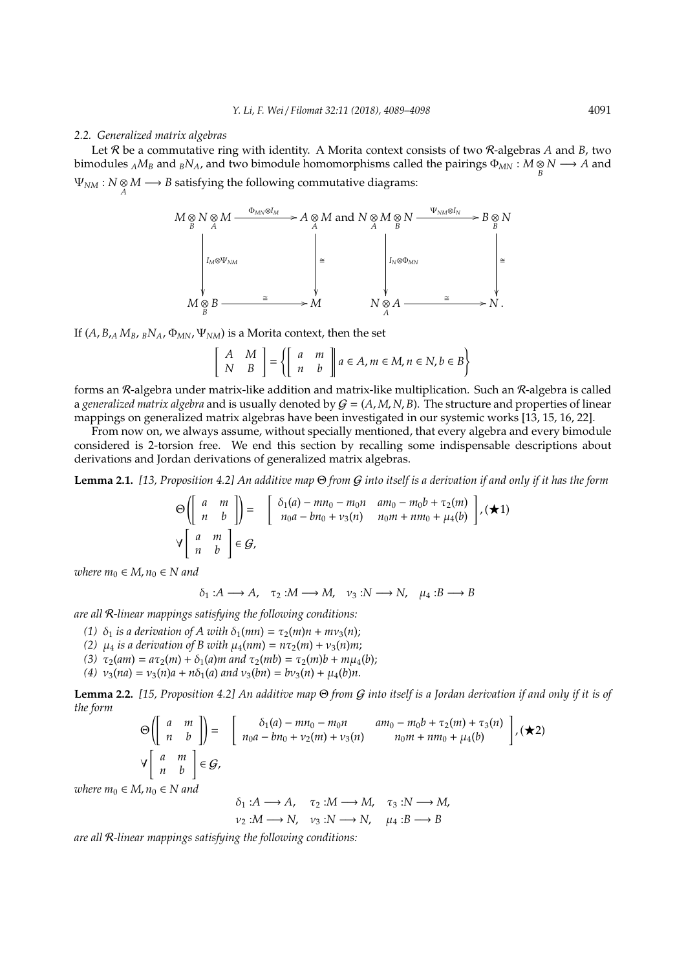#### *2.2. Generalized matrix algebras*

Let R be a commutative ring with identity. A Morita context consists of two R-algebras *A* and *B*, two bimodules  $_A M_B$  and  $_B N_A$ , and two bimodule homomorphisms called the pairings  $\Phi_{MN} : M \underset{B}{\otimes} N \longrightarrow A$  and  $\Psi_{NM}: N \otimes M \longrightarrow B$  satisfying the following commutative diagrams:

$$
M \underset{B}{\otimes} N \underset{A}{\otimes} M \xrightarrow{\Phi_{MN} \otimes I_M} A \underset{A}{\otimes} M \text{ and } N \underset{A}{\otimes} M \underset{B}{\otimes} N \xrightarrow{\Psi_{NM} \otimes I_N} B \underset{B}{\otimes} N
$$
\n
$$
\downarrow \qquad \qquad \downarrow \qquad \qquad \downarrow \qquad \qquad \downarrow \qquad \downarrow \qquad \downarrow \qquad \downarrow \qquad \downarrow \qquad \downarrow \qquad \downarrow \qquad \downarrow \qquad \downarrow \qquad \downarrow \qquad \downarrow \qquad \downarrow \qquad \downarrow \qquad \downarrow \qquad \downarrow \qquad \downarrow \qquad \downarrow \qquad \downarrow \qquad \downarrow \qquad \downarrow \qquad \downarrow \qquad \downarrow \qquad \downarrow \qquad \downarrow \qquad \downarrow \qquad \downarrow \qquad \downarrow \qquad \downarrow \qquad \downarrow \qquad \downarrow \qquad \downarrow \qquad \downarrow \qquad \downarrow \qquad \downarrow \qquad \downarrow \qquad \downarrow \qquad \downarrow \qquad \downarrow \qquad \downarrow \qquad \downarrow \qquad \downarrow \qquad \downarrow \qquad \downarrow \qquad \downarrow \qquad \downarrow \qquad \downarrow \qquad \downarrow \qquad \downarrow \qquad \downarrow \qquad \downarrow \qquad \downarrow \qquad \downarrow \qquad \downarrow \qquad \downarrow \qquad \downarrow \qquad \downarrow \qquad \downarrow \qquad \downarrow \qquad \downarrow \qquad \downarrow \qquad \downarrow \qquad \downarrow \qquad \downarrow \qquad \downarrow \qquad \downarrow \qquad \downarrow \qquad \downarrow \qquad \downarrow \qquad \downarrow \qquad \downarrow \qquad \downarrow \qquad \downarrow \qquad \downarrow \qquad \downarrow \qquad \downarrow \qquad \downarrow \qquad \downarrow \qquad \downarrow \qquad \downarrow \qquad \downarrow \qquad \downarrow \qquad \downarrow \qquad \downarrow \qquad \downarrow \qquad \downarrow \qquad \downarrow \qquad \downarrow \qquad \downarrow \qquad \downarrow \qquad \downarrow \qquad \downarrow \qquad \downarrow \qquad \downarrow \qquad \downarrow \qquad \downarrow \qquad \downarrow \qquad \downarrow \qquad \downarrow \qquad \downarrow \qquad \downarrow \qquad \downarrow \qquad \downarrow \qquad \downarrow \qquad \down
$$

If  $(A, B, A M_B, B N_A, \Phi_{MN}, \Psi_{NM})$  is a Morita context, then the set

$$
\left[\begin{array}{cc} A & M \\ N & B \end{array}\right] = \left\{ \left[\begin{array}{cc} a & m \\ n & b \end{array}\right] a \in A, m \in M, n \in N, b \in B \right\}
$$

forms an R-algebra under matrix-like addition and matrix-like multiplication. Such an R-algebra is called a *generalized matrix algebra* and is usually denoted by  $G = (A, M, N, B)$ . The structure and properties of linear mappings on generalized matrix algebras have been investigated in our systemic works [13, 15, 16, 22].

From now on, we always assume, without specially mentioned, that every algebra and every bimodule considered is 2-torsion free. We end this section by recalling some indispensable descriptions about derivations and Jordan derivations of generalized matrix algebras.

**Lemma 2.1.** *[13, Proposition 4.2] An additive map* Θ *from* G *into itself is a derivation if and only if it has the form*

$$
\Theta\left(\left[\begin{array}{cc} a & m \\ n & b \end{array}\right]\right) = \left[\begin{array}{cc} \delta_1(a) - mn_0 - m_0n & am_0 - m_0b + \tau_2(m) \\ n_0a - bn_0 + \nu_3(n) & n_0m + nm_0 + \mu_4(b) \end{array}\right], (\blacktriangle 1)
$$
\n
$$
\forall \left[\begin{array}{cc} a & m \\ n & b \end{array}\right] \in \mathcal{G},
$$

*where*  $m_0 \in M$ ,  $n_0 \in N$  and

 $\delta_1: A \longrightarrow A$ ,  $\tau_2: M \longrightarrow M$ ,  $\nu_3: N \longrightarrow N$ ,  $\mu_4: B \longrightarrow B$ 

*are all* R*-linear mappings satisfying the following conditions:*

- (1)  $\delta_1$  *is a derivation of A with*  $\delta_1$ (*mn*) =  $\tau_2$ (*m*)*n* + *mv*<sub>3</sub>(*n*);
- *(2)*  $\mu_4$  *is a derivation of B with*  $\mu_4(nm) = n\tau_2(m) + v_3(n)m;$
- *(3)*  $τ_2(am) = aτ_2(m) + δ_1(a)m$  and  $τ_2(mb) = τ_2(m)b + mμ_4(b);$
- (4)  $v_3(na) = v_3(n)a + n\delta_1(a)$  *and*  $v_3(bn) = bv_3(n) + \mu_4(b)n$ .

**Lemma 2.2.** *[15, Proposition 4.2] An additive map* Θ *from* G *into itself is a Jordan derivation if and only if it is of the form*

$$
\Theta\left(\left[\begin{array}{cc} a & m \\ n & b \end{array}\right]\right) = \left[\begin{array}{cc} \delta_1(a) - mn_0 - m_0n & am_0 - m_0b + \tau_2(m) + \tau_3(n) \\ n_0a - bn_0 + \nu_2(m) + \nu_3(n) & n_0m + nm_0 + \mu_4(b) \end{array}\right], \, (\star 2)
$$
\n
$$
\forall \left[\begin{array}{cc} a & m \\ n & b \end{array}\right] \in \mathcal{G},
$$

*where*  $m_0 \in M$ ,  $n_0 \in N$  and

 $\delta_1: A \longrightarrow A$ ,  $\tau_2: M \longrightarrow M$ ,  $\tau_3: N \longrightarrow M$  $v_2: M \longrightarrow N$ ,  $v_3: N \longrightarrow N$ ,  $\mu_4: B \longrightarrow B$ 

*are all* R*-linear mappings satisfying the following conditions:*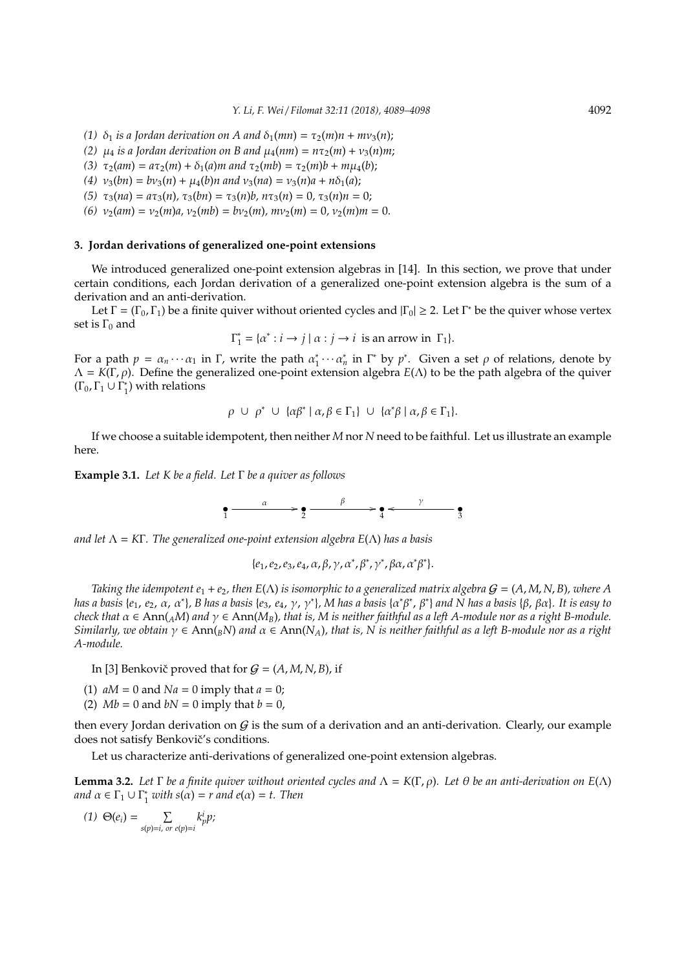- *(1)*  $\delta_1$  *is a Jordan derivation on A and*  $\delta_1(mn) = \tau_2(m)n + mv_3(n)$ ;
- *(2)*  $\mu_4$  *is a Jordan derivation on B and*  $\mu_4(nm) = n\tau_2(m) + v_3(n)m$ ;
- *(3)*  $\tau_2(am) = a\tau_2(m) + \delta_1(a)m$  and  $\tau_2(mb) = \tau_2(m)b + m\mu_4(b);$
- $(4)$   $v_3(bn) = bv_3(n) + \mu_4(b)n$  and  $v_3(na) = v_3(n)a + n\delta_1(a);$
- *(5)*  $\tau_3(na) = a\tau_3(n), \tau_3(bn) = \tau_3(n)b, n\tau_3(n) = 0, \tau_3(n)n = 0;$
- *(6)*  $v_2(am) = v_2(m)a$ ,  $v_2(mb) = bv_2(m)$ ,  $mv_2(m) = 0$ ,  $v_2(m)m = 0$ .

## **3. Jordan derivations of generalized one-point extensions**

We introduced generalized one-point extension algebras in [14]. In this section, we prove that under certain conditions, each Jordan derivation of a generalized one-point extension algebra is the sum of a derivation and an anti-derivation.

Let  $\Gamma = (\Gamma_0, \Gamma_1)$  be a finite quiver without oriented cycles and  $|\Gamma_0| \geq 2$ . Let  $\Gamma^*$  be the quiver whose vertex set is  $\Gamma_0$  and

$$
\Gamma_1^* = \{ \alpha^* : i \to j \mid \alpha : j \to i \text{ is an arrow in } \Gamma_1 \}.
$$

For a path  $p = \alpha_n \cdots \alpha_1$  in  $\Gamma$ , write the path  $\alpha_1^*$  $\gamma_1^* \cdots \alpha_n^*$  in  $\Gamma^*$  by  $p^*$ . Given a set  $\rho$  of relations, denote by Λ = *K*(Γ, ρ). Define the generalized one-point extension algebra *E*(Λ) to be the path algebra of the quiver  $(\Gamma_0, \Gamma_1 \cup \Gamma_1^*$  $_1^*$ ) with relations

$$
\rho \cup \rho^* \cup \{\alpha\beta^* \mid \alpha, \beta \in \Gamma_1\} \cup \{\alpha^*\beta \mid \alpha, \beta \in \Gamma_1\}.
$$

If we choose a suitable idempotent, then neither *M* nor *N* need to be faithful. Let us illustrate an example here.

**Example 3.1.** *Let K be a field. Let* Γ *be a quiver as follows*

$$
\bullet \xrightarrow{\alpha} \bullet \xrightarrow{\beta} \bullet \xrightarrow{\gamma} \bullet
$$

*and let* Λ = *K*Γ*. The generalized one-point extension algebra E*(Λ) *has a basis*

$$
\{e_1,e_2,e_3,e_4,\alpha,\beta,\gamma,\alpha^*,\beta^*,\gamma^*,\beta\alpha,\alpha^*\beta^*\}.
$$

*Taking the idempotent e*<sub>1</sub> + *e*<sub>2</sub>, *then*  $E(\Lambda)$  *is isomorphic to a generalized matrix algebra*  $G = (A, M, N, B)$ *, where* A *has a basis* {*e*1, *e*2, α, α<sup>∗</sup> }*, B has a basis* {*e*3, *e*4, γ, γ<sup>∗</sup> }*, M has a basis* {α ∗β ∗ , β<sup>∗</sup> } *and N has a basis* {β, βα}*. It is easy to check that*  $\alpha \in Ann(AM)$  *and*  $\gamma \in Ann(M_B)$ *, that is, M is neither faithful as a left A-module nor as a right B-module. Similarly, we obtain* γ ∈ Ann(*BN*) *and* α ∈ Ann(*NA*)*, that is, N is neither faithful as a left B-module nor as a right A-module.*

In [3] Benkovič proved that for  $G = (A, M, N, B)$ , if

- (1)  $aM = 0$  and  $Na = 0$  imply that  $a = 0$ ;
- (2)  $Mb = 0$  and  $bN = 0$  imply that  $b = 0$ ,

then every Jordan derivation on  $G$  is the sum of a derivation and an anti-derivation. Clearly, our example does not satisfy Benkovič's conditions.

Let us characterize anti-derivations of generalized one-point extension algebras.

**Lemma 3.2.** Let  $\Gamma$  be a finite quiver without oriented cycles and  $\Lambda = K(\Gamma, \rho)$ . Let  $\theta$  be an anti-derivation on  $E(\Lambda)$ and  $\alpha \in \Gamma_1 \cup \Gamma_1^*$  $^*_{1}$  with  $s(\alpha) = r$  and  $e(\alpha) = t$ . Then

$$
(1) \Theta(e_i) = \sum_{s(p)=i, \text{ or } e(p)=i} k_p^i p;
$$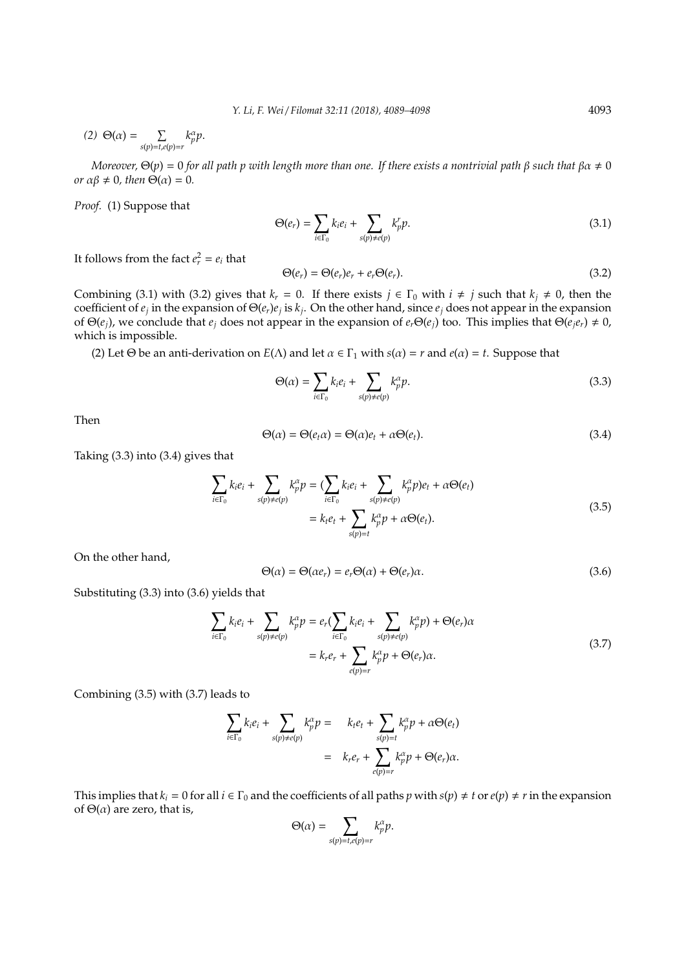$$
(2) \Theta(\alpha) = \sum_{s(p)=t, e(p)=r} k_p^{\alpha} p.
$$

*Moreover,*  $\Theta(p) = 0$  *for all path p with length more than one. If there exists a nontrivial path*  $\beta$  *such that*  $\beta \alpha \neq 0$ *or*  $\alpha\beta \neq 0$ *, then*  $\Theta(\alpha) = 0$ *.* 

*Proof.* (1) Suppose that

$$
\Theta(e_r) = \sum_{i \in \Gamma_0} k_i e_i + \sum_{s(p) \neq e(p)} k_p^r p. \tag{3.1}
$$

It follows from the fact  $e_r^2 = e_i$  that

$$
\Theta(e_r) = \Theta(e_r)e_r + e_r\Theta(e_r). \tag{3.2}
$$

Combining (3.1) with (3.2) gives that  $k_r = 0$ . If there exists  $j \in \Gamma_0$  with  $i \neq j$  such that  $k_j \neq 0$ , then the coefficient of *e<sup>j</sup>* in the expansion of Θ(*er*)*e<sup>j</sup>* is *k<sup>j</sup>* . On the other hand, since *e<sup>j</sup>* does not appear in the expansion of Θ(*e<sub>i</sub>*), we conclude that *e<sub>i</sub>* does not appear in the expansion of  $e_r \Theta(e_i)$  too. This implies that  $\Theta(e_i e_r) \neq 0$ , which is impossible.

(2) Let  $\Theta$  be an anti-derivation on  $E(\Lambda)$  and let  $\alpha \in \Gamma_1$  with  $s(\alpha) = r$  and  $e(\alpha) = t$ . Suppose that

$$
\Theta(\alpha) = \sum_{i \in \Gamma_0} k_i e_i + \sum_{s(p) \neq e(p)} k_p^{\alpha} p. \tag{3.3}
$$

Then

$$
\Theta(\alpha) = \Theta(e_t \alpha) = \Theta(\alpha)e_t + \alpha \Theta(e_t). \tag{3.4}
$$

Taking (3.3) into (3.4) gives that

$$
\sum_{i \in \Gamma_0} k_i e_i + \sum_{s(p) \neq e(p)} k_p^{\alpha} p = \left( \sum_{i \in \Gamma_0} k_i e_i + \sum_{s(p) \neq e(p)} k_p^{\alpha} p \right) e_t + \alpha \Theta(e_t)
$$
\n
$$
= k_t e_t + \sum_{s(p) = t} k_p^{\alpha} p + \alpha \Theta(e_t).
$$
\n(3.5)

On the other hand,

$$
\Theta(\alpha) = \Theta(\alpha e_r) = e_r \Theta(\alpha) + \Theta(e_r) \alpha.
$$
\n(3.6)

Substituting (3.3) into (3.6) yields that

$$
\sum_{i \in \Gamma_0} k_i e_i + \sum_{s(p) \neq e(p)} k_p^{\alpha} p = e_r \left( \sum_{i \in \Gamma_0} k_i e_i + \sum_{s(p) \neq e(p)} k_p^{\alpha} p \right) + \Theta(e_r) \alpha
$$
\n
$$
= k_r e_r + \sum_{e(p)=r} k_p^{\alpha} p + \Theta(e_r) \alpha.
$$
\n(3.7)

Combining (3.5) with (3.7) leads to

$$
\sum_{i\in\Gamma_0}k_ie_i+\sum_{s(p)\neq e(p)}k_p^\alpha p=\qquad k_ie_t+\sum_{s(p)=t}k_p^\alpha p+\alpha\Theta(e_t)\\ \qquad=\qquad k_re_t+\sum_{e(p)=r}k_p^\alpha p+\Theta(e_r)\alpha.
$$

This implies that  $k_i = 0$  for all  $i \in \Gamma_0$  and the coefficients of all paths  $p$  with  $s(p) \neq t$  or  $e(p) \neq r$  in the expansion of  $\Theta(\alpha)$  are zero, that is,

$$
\Theta(\alpha) = \sum_{s(p)=t,e(p)=r} k_p^{\alpha} p.
$$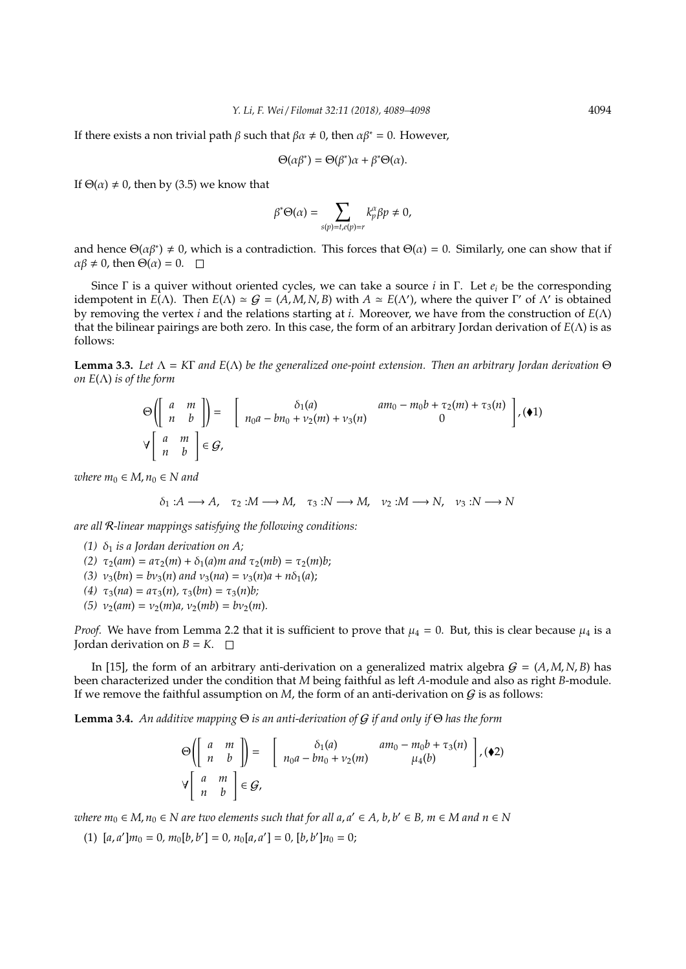If there exists a non trivial path  $\beta$  such that  $\beta \alpha \neq 0$ , then  $\alpha \beta^* = 0$ . However,

$$
\Theta(\alpha\beta^*) = \Theta(\beta^*)\alpha + \beta^*\Theta(\alpha).
$$

If  $\Theta(\alpha) \neq 0$ , then by (3.5) we know that

$$
\beta^*\Theta(\alpha)=\sum_{s(p)=t,e(p)=r}k_p^\alpha\beta p\neq 0,
$$

and hence  $\Theta(\alpha\beta^*) \neq 0$ , which is a contradiction. This forces that  $\Theta(\alpha) = 0$ . Similarly, one can show that if  $\alpha\beta \neq 0$ , then  $\Theta(\alpha) = 0$ .  $\Box$ 

Since Γ is a quiver without oriented cycles, we can take a source *i* in Γ. Let *e<sup>i</sup>* be the corresponding idempotent in  $E(\Lambda)$ . Then  $E(\Lambda) \simeq G = (A, M, N, B)$  with  $A \simeq E(\Lambda')$ , where the quiver Γ' of  $\Lambda'$  is obtained by removing the vertex *i* and the relations starting at *i*. Moreover, we have from the construction of *E*(Λ) that the bilinear pairings are both zero. In this case, the form of an arbitrary Jordan derivation of *E*(Λ) is as follows:

**Lemma 3.3.** *Let* Λ = *K*Γ *and E*(Λ) *be the generalized one-point extension. Then an arbitrary Jordan derivation* Θ *on*  $E(\Lambda)$  *is of the form* 

$$
\Theta\left(\left[\begin{array}{cc} a & m \\ n & b \end{array}\right]\right) = \left[\begin{array}{cc} \delta_1(a) & am_0 - m_0b + \tau_2(m) + \tau_3(n) \\ n_0a - bn_0 + \nu_2(m) + \nu_3(n) & 0 \end{array}\right], (\blacklozenge 1)
$$
\n
$$
\forall \left[\begin{array}{cc} a & m \\ n & b \end{array}\right] \in \mathcal{G},
$$

*where*  $m_0 \in M$ ,  $n_0 \in N$  and

$$
\delta_1: A \longrightarrow A, \quad \tau_2: M \longrightarrow M, \quad \tau_3: N \longrightarrow M, \quad \nu_2: M \longrightarrow N, \quad \nu_3: N \longrightarrow N
$$

*are all* R*-linear mappings satisfying the following conditions:*

- *(1)*  $\delta_1$  *is a Jordan derivation on A;*
- *(2)*  $\tau_2(am) = a\tau_2(m) + \delta_1(a)m$  and  $\tau_2(mb) = \tau_2(m)b$ ;
- $(3)$   $v_3(bn) = bv_3(n)$  *and*  $v_3(na) = v_3(n)a + n\delta_1(a);$
- $(4) \tau_3(na) = a\tau_3(n), \tau_3(bn) = \tau_3(n)b;$
- $(v_2(m) = v_2(m)a, v_2(mb) = bv_2(m).$

*Proof.* We have from Lemma 2.2 that it is sufficient to prove that  $\mu_4 = 0$ . But, this is clear because  $\mu_4$  is a Jordan derivation on  $B = K$ .  $\Box$ 

In [15], the form of an arbitrary anti-derivation on a generalized matrix algebra  $G = (A, M, N, B)$  has been characterized under the condition that *M* being faithful as left *A*-module and also as right *B*-module. If we remove the faithful assumption on  $M$ , the form of an anti-derivation on  $G$  is as follows:

**Lemma 3.4.** *An additive mapping* Θ *is an anti-derivation of* G *if and only if* Θ *has the form*

$$
\Theta\left(\left[\begin{array}{cc} a & m \\ n & b \end{array}\right]\right) = \left[\begin{array}{cc} \delta_1(a) & am_0 - m_0b + \tau_3(n) \\ n_0a - bn_0 + \nu_2(m) & \mu_4(b) \end{array}\right], \quad \bullet 2)
$$
\n
$$
\forall \left[\begin{array}{cc} a & m \\ n & b \end{array}\right] \in \mathcal{G},
$$

 $ab{e}$   $m_0 \in M$ ,  $n_0 \in N$  are two elements such that for all  $a, a' \in A$ ,  $b, b' \in B$ ,  $m \in M$  and  $n \in N$ 

 $(1)$   $[a, a']m_0 = 0, m_0[b, b'] = 0, n_0[a, a'] = 0, [b, b']n_0 = 0;$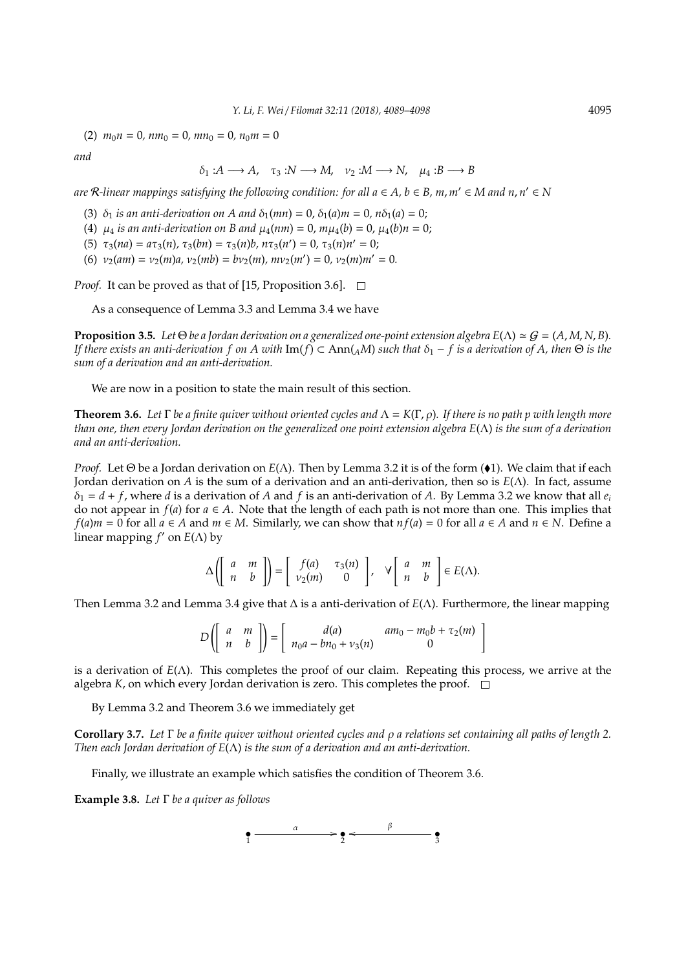$(2)$   $m_0 n = 0$ ,  $n m_0 = 0$ ,  $m n_0 = 0$ ,  $n_0 m = 0$ 

*and*

 $\delta_1: A \longrightarrow A$ ,  $\tau_3: N \longrightarrow M$ ,  $\nu_2: M \longrightarrow N$ ,  $\mu_4: B \longrightarrow B$ 

 $\alpha$  are  $\mathcal{R}$ -linear mappings satisfying the following condition: for all  $a \in A$ ,  $b \in B$ ,  $m$ ,  $m' \in M$  and  $n, n' \in N$ 

(3)  $\delta_1$  *is an anti-derivation on A and*  $\delta_1$ (*mn*) = 0,  $\delta_1$ (*a*)*m* = 0,  $n\delta_1$ (*a*) = 0;

(4)  $\mu_4$  *is an anti-derivation on B and*  $\mu_4(nm) = 0$ ,  $m\mu_4(b) = 0$ ,  $\mu_4(b)n = 0$ ;

(5)  $\tau_3(na) = a\tau_3(n), \tau_3(bn) = \tau_3(n)b, n\tau_3(n') = 0, \tau_3(n)n' = 0;$ 

(6)  $v_2(am) = v_2(m)a$ ,  $v_2(mb) = bv_2(m)$ ,  $mv_2(m') = 0$ ,  $v_2(m)m' = 0$ .

*Proof.* It can be proved as that of [15, Proposition 3.6].  $\Box$ 

As a consequence of Lemma 3.3 and Lemma 3.4 we have

**Proposition 3.5.** Let  $\Theta$  be a Jordan derivation on a generalized one-point extension algebra  $E(\Lambda) \simeq G = (A, M, N, B)$ . *If there exists an anti-derivation f on A with* Im(*f*) ⊂ Ann( $_A$ M) such that  $\delta_1$  – *f* is a derivation of A, then  $\Theta$  is the *sum of a derivation and an anti-derivation.*

We are now in a position to state the main result of this section.

**Theorem 3.6.** *Let* Γ *be a finite quiver without oriented cycles and* Λ = *K*(Γ, ρ)*. If there is no path p with length more than one, then every Jordan derivation on the generalized one point extension algebra E*(Λ) *is the sum of a derivation and an anti-derivation.*

*Proof.* Let Θ be a Jordan derivation on  $E(\Lambda)$ . Then by Lemma 3.2 it is of the form ( $\bullet$ 1). We claim that if each Jordan derivation on *A* is the sum of a derivation and an anti-derivation, then so is *E*(Λ). In fact, assume  $\delta_1 = d + f$ , where *d* is a derivation of *A* and *f* is an anti-derivation of *A*. By Lemma 3.2 we know that all  $e_i$ do not appear in  $f(a)$  for  $a \in A$ . Note that the length of each path is not more than one. This implies that *f*(*a*)*m* = 0 for all *a* ∈ *A* and *m* ∈ *M*. Similarly, we can show that *n f*(*a*) = 0 for all *a* ∈ *A* and *n* ∈ *N*. Define a linear mapping *f'* on *E*(Λ) by

$$
\Delta\left(\left[\begin{array}{cc}a & m \\ n & b\end{array}\right]\right) = \left[\begin{array}{cc}f(a) & \tau_3(n) \\ \nu_2(m) & 0\end{array}\right], \quad \forall \left[\begin{array}{cc}a & m \\ n & b\end{array}\right] \in E(\Lambda).
$$

Then Lemma 3.2 and Lemma 3.4 give that ∆ is a anti-derivation of *E*(Λ). Furthermore, the linear mapping

$$
D\left(\left[\begin{array}{cc}a & m \\ n & b\end{array}\right]\right) = \left[\begin{array}{cc}d(a) & am_0 - m_0b + \tau_2(m) \\ n_0a - bn_0 + \nu_3(n) & 0\end{array}\right]
$$

is a derivation of *E*(Λ). This completes the proof of our claim. Repeating this process, we arrive at the algebra  $K$ , on which every Jordan derivation is zero. This completes the proof.  $\square$ 

By Lemma 3.2 and Theorem 3.6 we immediately get

**Corollary 3.7.** *Let* Γ *be a finite quiver without oriented cycles and* ρ *a relations set containing all paths of length 2. Then each Jordan derivation of E*(Λ) *is the sum of a derivation and an anti-derivation.*

Finally, we illustrate an example which satisfies the condition of Theorem 3.6.

**Example 3.8.** *Let* Γ *be a quiver as follows*

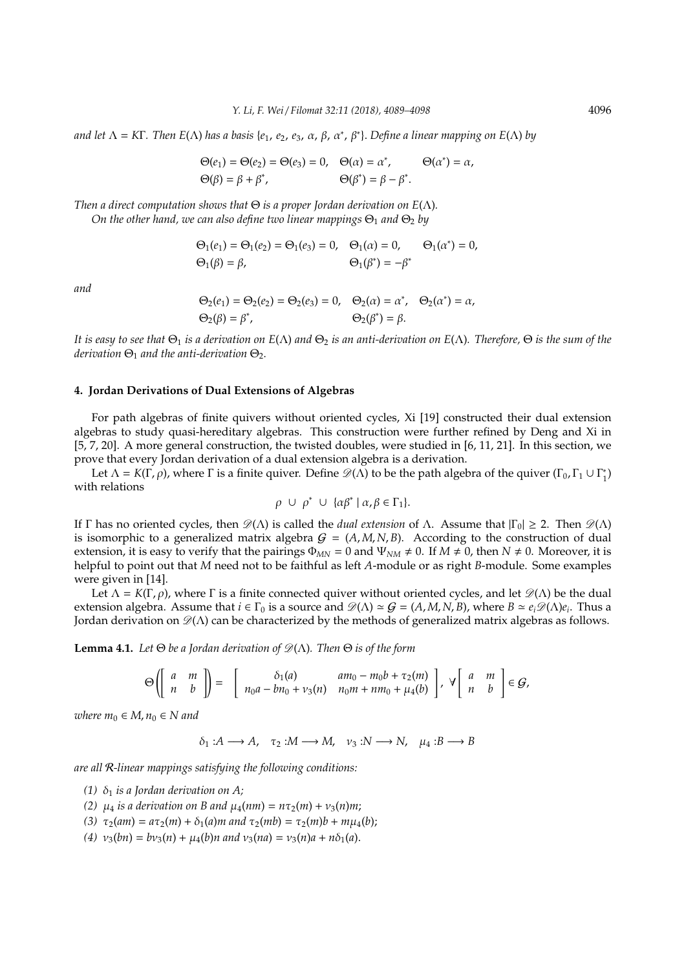*and let* Λ = *K*Γ*. Then E*(Λ) *has a basis* {*e*1, *e*2, *e*3, α, β, α<sup>∗</sup> , β<sup>∗</sup> }. *Define a linear mapping on E*(Λ) *by*

$$
\Theta(e_1) = \Theta(e_2) = \Theta(e_3) = 0, \quad \Theta(\alpha) = \alpha^*, \qquad \Theta(\alpha^*) = \alpha,
$$
  

$$
\Theta(\beta) = \beta + \beta^*, \qquad \Theta(\beta^*) = \beta - \beta^*.
$$

*Then a direct computation shows that* Θ *is a proper Jordan derivation on E*(Λ)*. On the other hand, we can also define two linear mappings*  $\Theta_1$  *and*  $\Theta_2$  *by* 

$$
\Theta_1(e_1) = \Theta_1(e_2) = \Theta_1(e_3) = 0, \quad \Theta_1(\alpha) = 0, \quad \Theta_1(\alpha^*) = 0, \n\Theta_1(\beta) = \beta, \quad \Theta_1(\beta^*) = -\beta^*
$$

*and*

$$
\Theta_2(e_1) = \Theta_2(e_2) = \Theta_2(e_3) = 0, \quad \Theta_2(\alpha) = \alpha^*, \quad \Theta_2(\alpha^*) = \alpha,
$$
  

$$
\Theta_2(\beta) = \beta^*, \qquad \Theta_2(\beta^*) = \beta.
$$

*It is easy to see that*  $\Theta_1$  *is a derivation on*  $E(\Lambda)$  *and*  $\Theta_2$  *is an anti-derivation on*  $E(\Lambda)$ *. Therefore,*  $\Theta$  *is the sum of the*  $derivation \Theta_1$  *and the anti-derivation*  $\Theta_2$ .

#### **4. Jordan Derivations of Dual Extensions of Algebras**

For path algebras of finite quivers without oriented cycles, Xi [19] constructed their dual extension algebras to study quasi-hereditary algebras. This construction were further refined by Deng and Xi in [5, 7, 20]. A more general construction, the twisted doubles, were studied in [6, 11, 21]. In this section, we prove that every Jordan derivation of a dual extension algebra is a derivation.

Let  $\Lambda = K(\Gamma, \rho)$ , where  $\Gamma$  is a finite quiver. Define  $\mathscr{D}(\Lambda)$  to be the path algebra of the quiver  $(\Gamma_0, \Gamma_1 \cup \Gamma_1)$  $\rangle_{1}^{*}$ with relations

$$
\rho \cup \rho^* \cup \{\alpha\beta^* \mid \alpha, \beta \in \Gamma_1\}.
$$

If Γ has no oriented cycles, then  $\mathcal{D}(\Lambda)$  is called the *dual extension* of Λ. Assume that  $|\Gamma_0| \geq 2$ . Then  $\mathcal{D}(\Lambda)$ is isomorphic to a generalized matrix algebra  $G = (A, M, N, B)$ . According to the construction of dual extension, it is easy to verify that the pairings  $\Phi_{MN} = 0$  and  $\Psi_{NM} \neq 0$ . If  $M \neq 0$ , then  $N \neq 0$ . Moreover, it is helpful to point out that *M* need not to be faithful as left *A*-module or as right *B*-module. Some examples were given in [14].

Let  $\Lambda = K(\Gamma, \rho)$ , where  $\Gamma$  is a finite connected quiver without oriented cycles, and let  $\mathscr{D}(\Lambda)$  be the dual extension algebra. Assume that  $i \in \Gamma_0$  is a source and  $\mathscr{D}(\Lambda) \simeq \mathcal{G} = (A, M, N, B)$ , where  $B \simeq e_i \mathscr{D}(\Lambda) e_i$ . Thus a Jordan derivation on  $\mathcal{D}(\Lambda)$  can be characterized by the methods of generalized matrix algebras as follows.

**Lemma 4.1.** *Let*  $\Theta$  *be a Jordan derivation of*  $\mathscr{D}(\Lambda)$ *. Then*  $\Theta$  *is of the form* 

$$
\Theta\left(\left[\begin{array}{cc}a & m \\ n & b\end{array}\right]\right)=\left[\begin{array}{cc}\delta_1(a) & am_0-m_0b+\tau_2(m) \\ n_0a-bn_0+\nu_3(n) & n_0m+nm_0+\mu_4(b)\end{array}\right],\ \forall\left[\begin{array}{cc}a & m \\ n & b\end{array}\right]\in\mathcal{G},
$$

*where*  $m_0 \in M$ ,  $n_0 \in N$  and

 $\delta_1: A \longrightarrow A$ ,  $\tau_2: M \longrightarrow M$ ,  $\nu_3: N \longrightarrow N$ ,  $\mu_4: B \longrightarrow B$ 

*are all* R*-linear mappings satisfying the following conditions:*

- *(1)*  $\delta_1$  *is a Jordan derivation on A;*
- *(2)*  $\mu_4$  *is a derivation on B and*  $\mu_4(nm) = n\tau_2(m) + \nu_3(n)m;$
- *(3)*  $\tau_2(am) = a\tau_2(m) + δ_1(a)m$  and  $\tau_2(mb) = \tau_2(m)b + m\mu_4(b);$
- (4)  $v_3(bn) = bv_3(n) + \mu_4(b)n$  and  $v_3(na) = v_3(n)a + n\delta_1(a)$ .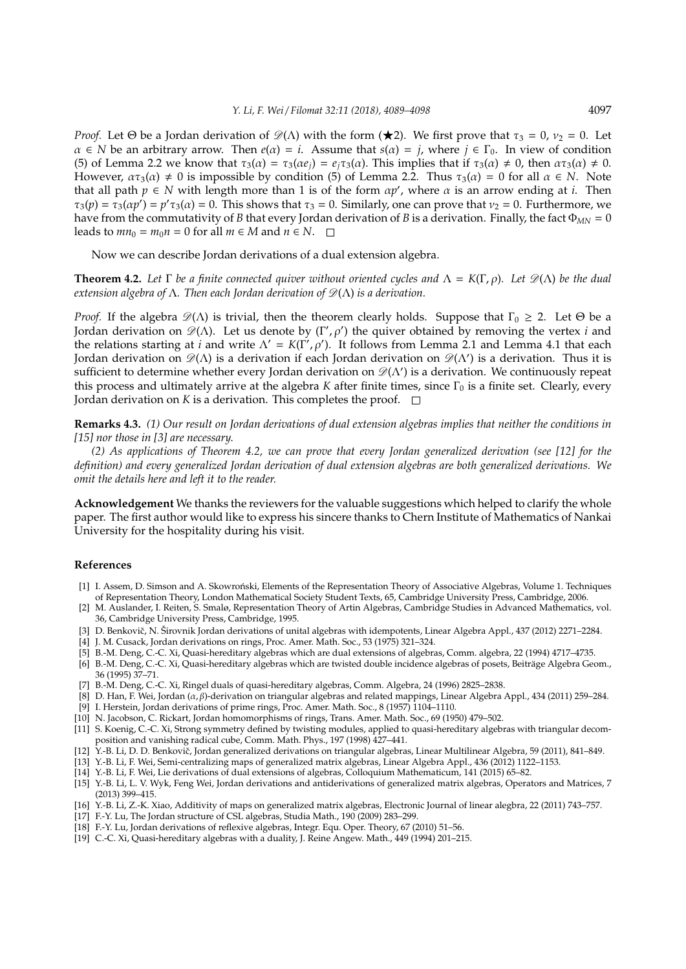*Proof.* Let  $\Theta$  be a Jordan derivation of  $\mathcal{D}(\Lambda)$  with the form ( $\star$ 2). We first prove that  $\tau_3 = 0$ ,  $\nu_2 = 0$ . Let  $\alpha \in N$  be an arbitrary arrow. Then  $e(\alpha) = i$ . Assume that  $s(\alpha) = j$ , where  $j \in \Gamma_0$ . In view of condition (5) of Lemma 2.2 we know that  $\tau_3(\alpha) = \tau_3(\alpha e_j) = e_j\tau_3(\alpha)$ . This implies that if  $\tau_3(\alpha) \neq 0$ , then  $\alpha \tau_3(\alpha) \neq 0$ . However,  $\alpha \tau_3(\alpha) \neq 0$  is impossible by condition (5) of Lemma 2.2. Thus  $\tau_3(\alpha) = 0$  for all  $\alpha \in N$ . Note that all path  $p \in N$  with length more than 1 is of the form  $\alpha p'$ , where  $\alpha$  is an arrow ending at *i*. Then  $\tau_3(p) = \tau_3(\alpha p') = p' \tau_3(\alpha) = 0$ . This shows that  $\tau_3 = 0$ . Similarly, one can prove that  $\nu_2 = 0$ . Furthermore, we have from the commutativity of *B* that every Jordan derivation of *B* is a derivation. Finally, the fact Φ*MN* = 0 leads to  $mn_0 = m_0 n = 0$  for all  $m \in M$  and  $n \in N$ .  $\square$ 

Now we can describe Jordan derivations of a dual extension algebra.

**Theorem 4.2.** Let  $\Gamma$  be a finite connected quiver without oriented cycles and  $\Lambda = K(\Gamma, \rho)$ . Let  $\mathcal{D}(\Lambda)$  be the dual *extension algebra of* Λ. Then each Jordan derivation of  $\mathcal{D}(\Lambda)$  is a derivation.

*Proof.* If the algebra  $\mathscr{D}(\Lambda)$  is trivial, then the theorem clearly holds. Suppose that  $\Gamma_0 \geq 2$ . Let  $\Theta$  be a Jordan derivation on  $\mathscr{D}(\Lambda)$ . Let us denote by (Γ',  $\rho'$ ) the quiver obtained by removing the vertex *i* and the relations starting at *i* and write  $\Lambda' = K(\overline{\Gamma'}, \rho')$ . It follows from Lemma 2.1 and Lemma 4.1 that each Jordan derivation on  $\mathscr{D}(\Lambda)$  is a derivation if each Jordan derivation on  $\mathscr{D}(\Lambda')$  is a derivation. Thus it is sufficient to determine whether every Jordan derivation on  $\mathscr{D}(\Lambda')$  is a derivation. We continuously repeat this process and ultimately arrive at the algebra *K* after finite times, since Γ<sub>0</sub> is a finite set. Clearly, every Jordan derivation on *K* is a derivation. This completes the proof.  $\Box$ 

**Remarks 4.3.** *(1) Our result on Jordan derivations of dual extension algebras implies that neither the conditions in [15] nor those in [3] are necessary.*

*(2) As applications of Theorem 4.2, we can prove that every Jordan generalized derivation (see [12] for the definition) and every generalized Jordan derivation of dual extension algebras are both generalized derivations. We omit the details here and left it to the reader.*

**Acknowledgement** We thanks the reviewers for the valuable suggestions which helped to clarify the whole paper. The first author would like to express his sincere thanks to Chern Institute of Mathematics of Nankai University for the hospitality during his visit.

#### **References**

- [1] I. Assem, D. Simson and A. Skowroński, Elements of the Representation Theory of Associative Algebras, Volume 1. Techniques of Representation Theory, London Mathematical Society Student Texts, 65, Cambridge University Press, Cambridge, 2006.
- [2] M. Auslander, I. Reiten, S. Smalø, Representation Theory of Artin Algebras, Cambridge Studies in Advanced Mathematics, vol. 36, Cambridge University Press, Cambridge, 1995.
- [3] D. Benkovič, N. Širovnik Jordan derivations of unital algebras with idempotents, Linear Algebra Appl., 437 (2012) 2271–2284.
- [4] J. M. Cusack, Jordan derivations on rings, Proc. Amer. Math. Soc., 53 (1975) 321–324.
- [5] B.-M. Deng, C.-C. Xi, Quasi-hereditary algebras which are dual extensions of algebras, Comm. algebra, 22 (1994) 4717–4735.
- [6] B.-M. Deng, C.-C. Xi, Quasi-hereditary algebras which are twisted double incidence algebras of posets, Beitrage Algebra Geom., ¨ 36 (1995) 37–71.
- [7] B.-M. Deng, C.-C. Xi, Ringel duals of quasi-hereditary algebras, Comm. Algebra, 24 (1996) 2825–2838.
- [8] D. Han, F. Wei, Jordan (α, β)-derivation on triangular algebras and related mappings, Linear Algebra Appl., 434 (2011) 259–284. [9] I. Herstein, Jordan derivations of prime rings, Proc. Amer. Math. Soc., 8 (1957) 1104–1110.
- [10] N. Jacobson, C. Rickart, Jordan homomorphisms of rings, Trans. Amer. Math. Soc., 69 (1950) 479–502.
- [11] S. Koenig, C.-C. Xi, Strong symmetry defined by twisting modules, applied to quasi-hereditary algebras with triangular decomposition and vanishing radical cube, Comm. Math. Phys., 197 (1998) 427–441.
- [12] Y.-B. Li, D. D. Benkovič, Jordan generalized derivations on triangular algebras, Linear Multilinear Algebra, 59 (2011), 841–849.
- [13] Y.-B. Li, F. Wei, Semi-centralizing maps of generalized matrix algebras, Linear Algebra Appl., 436 (2012) 1122–1153.
- [14] Y.-B. Li, F. Wei, Lie derivations of dual extensions of algebras, Colloquium Mathematicum, 141 (2015) 65–82.
- [15] Y.-B. Li, L. V. Wyk, Feng Wei, Jordan derivations and antiderivations of generalized matrix algebras, Operators and Matrices, 7 (2013) 399–415.
- [16] Y.-B. Li, Z.-K. Xiao, Additivity of maps on generalized matrix algebras, Electronic Journal of linear alegbra, 22 (2011) 743–757.
- [17] F.-Y. Lu, The Jordan structure of CSL algebras, Studia Math., 190 (2009) 283–299.
- [18] F.-Y. Lu, Jordan derivations of reflexive algebras, Integr. Equ. Oper. Theory, 67 (2010) 51–56.
- [19] C.-C. Xi, Quasi-hereditary algebras with a duality, J. Reine Angew. Math., 449 (1994) 201–215.